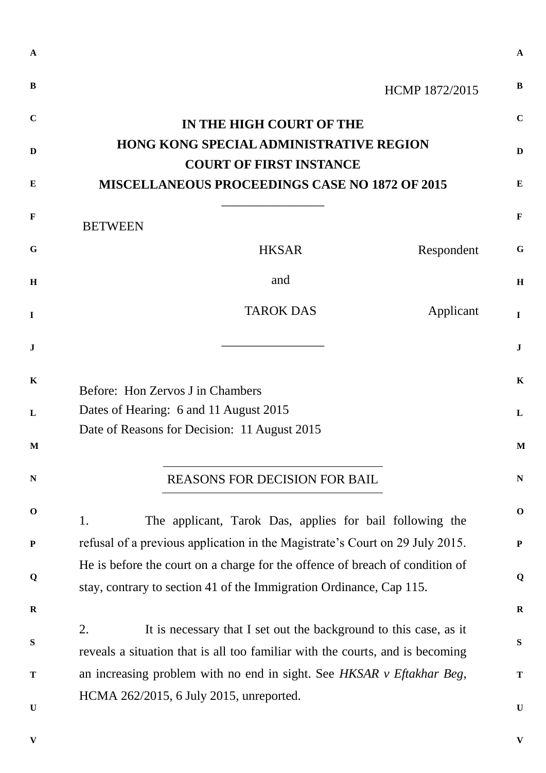|                |                                                                                  | HCMP 1872/2015 |
|----------------|----------------------------------------------------------------------------------|----------------|
|                | IN THE HIGH COURT OF THE                                                         |                |
|                | <b>HONG KONG SPECIAL ADMINISTRATIVE REGION</b><br><b>COURT OF FIRST INSTANCE</b> |                |
|                | <b>MISCELLANEOUS PROCEEDINGS CASE NO 1872 OF 2015</b>                            |                |
| <b>BETWEEN</b> |                                                                                  |                |
|                | <b>HKSAR</b>                                                                     | Respondent     |
|                | and                                                                              |                |
|                | <b>TAROK DAS</b>                                                                 | Applicant      |
|                |                                                                                  |                |
|                |                                                                                  |                |
|                | Before: Hon Zervos J in Chambers                                                 |                |
|                | Dates of Hearing: 6 and 11 August 2015                                           |                |
|                | Date of Reasons for Decision: 11 August 2015                                     |                |
|                |                                                                                  |                |
|                |                                                                                  |                |
|                | <b>REASONS FOR DECISION FOR BAIL</b>                                             |                |
|                |                                                                                  |                |
|                | The applicant, Tarok Das, applies for bail following the                         |                |
|                | refusal of a previous application in the Magistrate's Court on 29 July 2015.     |                |
|                | He is before the court on a charge for the offence of breach of condition of     |                |
|                | stay, contrary to section 41 of the Immigration Ordinance, Cap 115.              |                |
| 1.             |                                                                                  |                |
|                | It is necessary that I set out the background to this case, as it                |                |
|                | reveals a situation that is all too familiar with the courts, and is becoming    |                |
| 2.             | an increasing problem with no end in sight. See HKSAR v Eftakhar Beg,            |                |
|                | HCMA 262/2015, 6 July 2015, unreported.                                          |                |
|                |                                                                                  |                |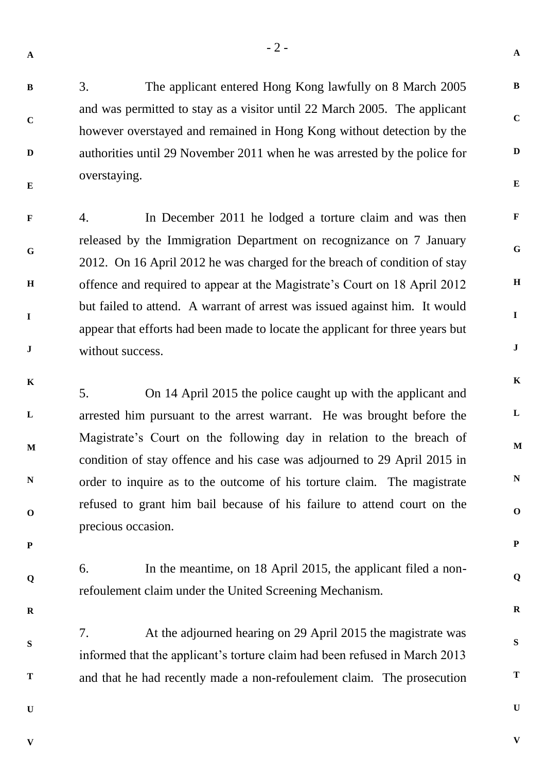**B**

**C**

**D**

**E**

3. The applicant entered Hong Kong lawfully on 8 March 2005 and was permitted to stay as a visitor until 22 March 2005. The applicant however overstayed and remained in Hong Kong without detection by the authorities until 29 November 2011 when he was arrested by the police for overstaying.

**F G H I J** 4. In December 2011 he lodged a torture claim and was then released by the Immigration Department on recognizance on 7 January 2012. On 16 April 2012 he was charged for the breach of condition of stay offence and required to appear at the Magistrate's Court on 18 April 2012 but failed to attend. A warrant of arrest was issued against him. It would appear that efforts had been made to locate the applicant for three years but without success.

**K L M N O** 5. On 14 April 2015 the police caught up with the applicant and arrested him pursuant to the arrest warrant. He was brought before the Magistrate's Court on the following day in relation to the breach of condition of stay offence and his case was adjourned to 29 April 2015 in order to inquire as to the outcome of his torture claim. The magistrate refused to grant him bail because of his failure to attend court on the precious occasion.

6. In the meantime, on 18 April 2015, the applicant filed a nonrefoulement claim under the United Screening Mechanism.

7. At the adjourned hearing on 29 April 2015 the magistrate was informed that the applicant's torture claim had been refused in March 2013 and that he had recently made a non-refoulement claim. The prosecution

**U**

**V**

**P**

**Q**

**R**

**S**

**T**

**V**

**U**

**A**

**B**

**C**

**D**

**E**

**F**

**G**

**H**

**I**

**J**

**K**

**L**

**M**

**N**

**O**

**P**

**Q**

**R**

**S**

**T**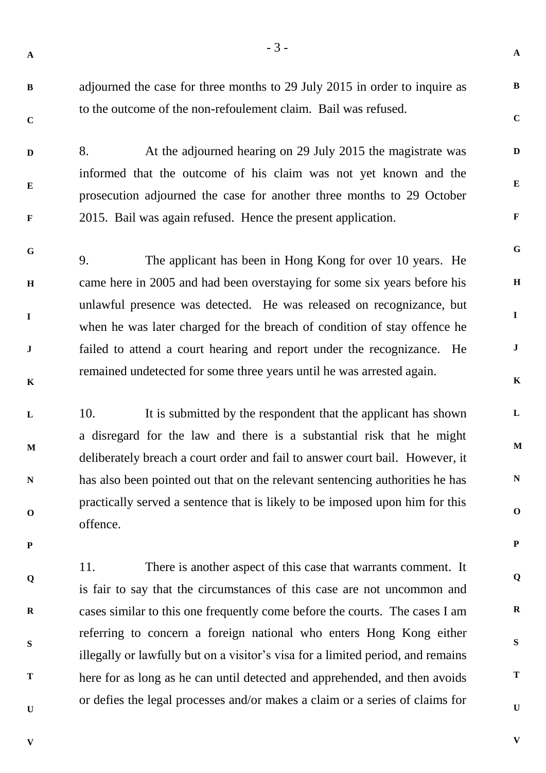**A**

**B**

**C**

**D**

**E**

**F**

**G**

**H**

**I**

**J**

**K**

**L**

**M**

**N**

**O**

**P**

**Q**

**R**

**S**

**T**

**B C** adjourned the case for three months to 29 July 2015 in order to inquire as to the outcome of the non-refoulement claim. Bail was refused.

**D E F** 8. At the adjourned hearing on 29 July 2015 the magistrate was informed that the outcome of his claim was not yet known and the prosecution adjourned the case for another three months to 29 October 2015. Bail was again refused. Hence the present application.

**G H I J K** 9. The applicant has been in Hong Kong for over 10 years. He came here in 2005 and had been overstaying for some six years before his unlawful presence was detected. He was released on recognizance, but when he was later charged for the breach of condition of stay offence he failed to attend a court hearing and report under the recognizance. He remained undetected for some three years until he was arrested again.

**L M N O** 10. It is submitted by the respondent that the applicant has shown a disregard for the law and there is a substantial risk that he might deliberately breach a court order and fail to answer court bail. However, it has also been pointed out that on the relevant sentencing authorities he has practically served a sentence that is likely to be imposed upon him for this offence.

11. There is another aspect of this case that warrants comment. It is fair to say that the circumstances of this case are not uncommon and cases similar to this one frequently come before the courts. The cases I am referring to concern a foreign national who enters Hong Kong either illegally or lawfully but on a visitor's visa for a limited period, and remains here for as long as he can until detected and apprehended, and then avoids or defies the legal processes and/or makes a claim or a series of claims for

**V**

**P**

**Q**

**R**

**S**

**T**

**U**

**V**

**U**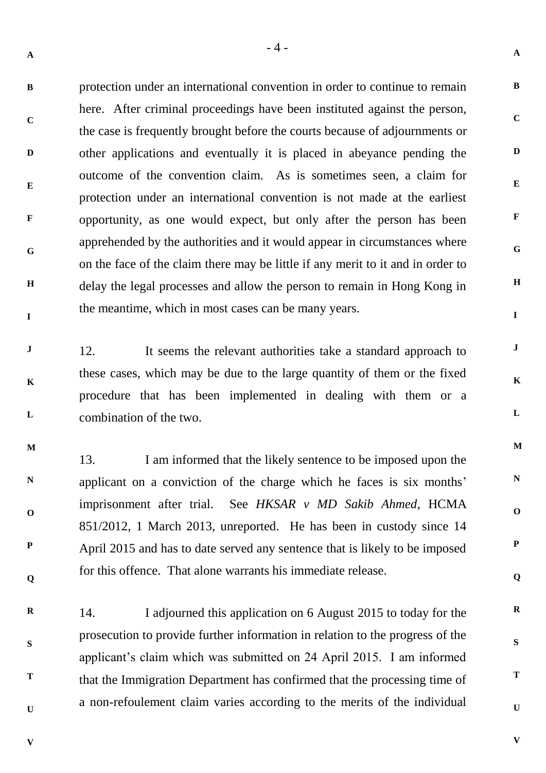**B C D E F G H I** protection under an international convention in order to continue to remain here. After criminal proceedings have been instituted against the person, the case is frequently brought before the courts because of adjournments or other applications and eventually it is placed in abeyance pending the outcome of the convention claim. As is sometimes seen, a claim for protection under an international convention is not made at the earliest opportunity, as one would expect, but only after the person has been apprehended by the authorities and it would appear in circumstances where on the face of the claim there may be little if any merit to it and in order to delay the legal processes and allow the person to remain in Hong Kong in the meantime, which in most cases can be many years.

**J K L** 12. It seems the relevant authorities take a standard approach to these cases, which may be due to the large quantity of them or the fixed procedure that has been implemented in dealing with them or a combination of the two.

**M N O P Q** 13. I am informed that the likely sentence to be imposed upon the applicant on a conviction of the charge which he faces is six months' imprisonment after trial. See *HKSAR v MD Sakib Ahmed*, HCMA 851/2012, 1 March 2013, unreported. He has been in custody since 14 April 2015 and has to date served any sentence that is likely to be imposed for this offence. That alone warrants his immediate release.

**R S T U** 14. I adjourned this application on 6 August 2015 to today for the prosecution to provide further information in relation to the progress of the applicant's claim which was submitted on 24 April 2015. I am informed that the Immigration Department has confirmed that the processing time of a non-refoulement claim varies according to the merits of the individual

 $-4-$ 

**V**

**A**

**V**

**A**

**B**

**C**

**D**

**E**

**F**

**G**

**H**

**I**

**J**

**K**

**L**

**M**

**N**

**O**

**P**

**Q**

**R**

**S**

**T**

**U**